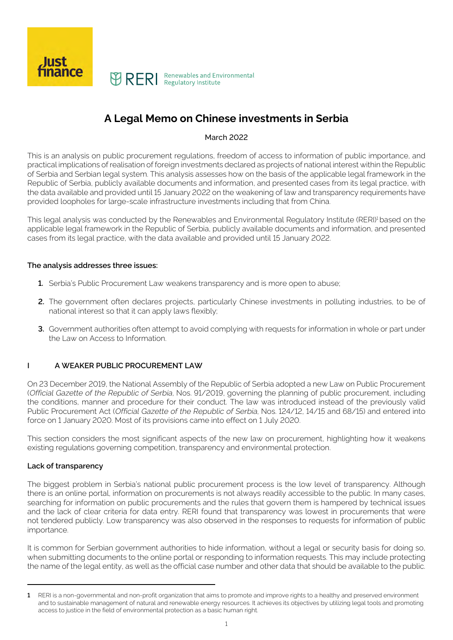

# **A Legal Memo on Chinese investments in Serbia**

#### March 2022

This is an analysis on public procurement regulations, freedom of access to information of public importance, and practical implications of realisation of foreign investments declared as projects of national interest within the Republic of Serbia and Serbian legal system. This analysis assesses how on the basis of the applicable legal framework in the Republic of Serbia, publicly available documents and information, and presented cases from its legal practice, with the data available and provided until 15 January 2022 on the weakening of law and transparency requirements have provided loopholes for large-scale infrastructure investments including that from China.

This legal analysis was conducted by the Renewables and Environmental Regulatory Institute (RERI)<sup>1</sup> based on the applicable legal framework in the Republic of Serbia, publicly available documents and information, and presented cases from its legal practice, with the data available and provided until 15 January 2022.

#### **The analysis addresses three issues:**

- **1.** Serbia's Public Procurement Law weakens transparency and is more open to abuse;
- **2.** The government often declares projects, particularly Chinese investments in polluting industries, to be of national interest so that it can apply laws flexibly;
- **3.** Government authorities often attempt to avoid complying with requests for information in whole or part under the Law on Access to Information.

# **I A WEAKER PUBLIC PROCUREMENT LAW**

On 23 December 2019, the National Assembly of the Republic of Serbia adopted a new Law on Public Procurement (Official Gazette of the Republic of Serbia, Nos. 91/2019, governing the planning of public procurement, including the conditions, manner and procedure for their conduct. The law was introduced instead of the previously valid Public Procurement Act (Official Gazette of the Republic of Serbia, Nos. 124/12, 14/15 and 68/15) and entered into force on 1 January 2020. Most of its provisions came into effect on 1 July 2020.

This section considers the most significant aspects of the new law on procurement, highlighting how it weakens existing regulations governing competition, transparency and environmental protection.

#### **Lack of transparency**

The biggest problem in Serbia's national public procurement process is the low level of transparency. Although there is an online portal, information on procurements is not always readily accessible to the public. In many cases, searching for information on public procurements and the rules that govern them is hampered by technical issues and the lack of clear criteria for data entry. RERI found that transparency was lowest in procurements that were not tendered publicly. Low transparency was also observed in the responses to requests for information of public importance.

It is common for Serbian government authorities to hide information, without a legal or security basis for doing so, when submitting documents to the online portal or responding to information requests. This may include protecting the name of the legal entity, as well as the official case number and other data that should be available to the public.

**<sup>1</sup>** RERI is a non-governmental and non-profit organization that aims to promote and improve rights to a healthy and preserved environment and to sustainable management of natural and renewable energy resources. It achieves its objectives by utilizing legal tools and promoting access to justice in the field of environmental protection as a basic human right.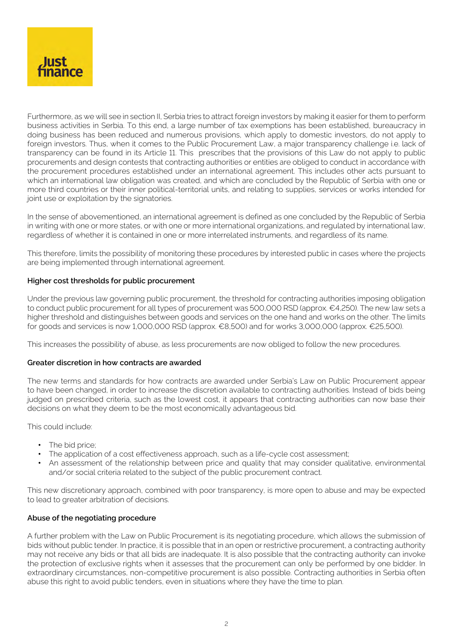

Furthermore, as we will see in section II, Serbia tries to attract foreign investors by making it easier for them to perform business activities in Serbia. To this end, a large number of tax exemptions has been established, bureaucracy in doing business has been reduced and numerous provisions, which apply to domestic investors, do not apply to foreign investors. Thus, when it comes to the Public Procurement Law, a major transparency challenge i.e. lack of transparency can be found in its Article 11. This prescribes that the provisions of this Law do not apply to public procurements and design contests that contracting authorities or entities are obliged to conduct in accordance with the procurement procedures established under an international agreement. This includes other acts pursuant to which an international law obligation was created, and which are concluded by the Republic of Serbia with one or more third countries or their inner political-territorial units, and relating to supplies, services or works intended for joint use or exploitation by the signatories.

In the sense of abovementioned, an international agreement is defined as one concluded by the Republic of Serbia in writing with one or more states, or with one or more international organizations, and regulated by international law, regardless of whether it is contained in one or more interrelated instruments, and regardless of its name.

This therefore, limits the possibility of monitoring these procedures by interested public in cases where the projects are being implemented through international agreement.

#### **Higher cost thresholds for public procurement**

Under the previous law governing public procurement, the threshold for contracting authorities imposing obligation to conduct public procurement for all types of procurement was 500,000 RSD (approx. €4,250). The new law sets a higher threshold and distinguishes between goods and services on the one hand and works on the other. The limits for goods and services is now 1,000,000 RSD (approx. €8,500) and for works 3,000,000 (approx. €25,500).

This increases the possibility of abuse, as less procurements are now obliged to follow the new procedures.

#### **Greater discretion in how contracts are awarded**

The new terms and standards for how contracts are awarded under Serbia's Law on Public Procurement appear to have been changed, in order to increase the discretion available to contracting authorities. Instead of bids being judged on prescribed criteria, such as the lowest cost, it appears that contracting authorities can now base their decisions on what they deem to be the most economically advantageous bid.

This could include:

- The bid price;
- The application of a cost effectiveness approach, such as a life-cycle cost assessment;
- An assessment of the relationship between price and quality that may consider qualitative, environmental and/or social criteria related to the subject of the public procurement contract.

This new discretionary approach, combined with poor transparency, is more open to abuse and may be expected to lead to greater arbitration of decisions.

#### **Abuse of the negotiating procedure**

A further problem with the Law on Public Procurement is its negotiating procedure, which allows the submission of bids without public tender. In practice, it is possible that in an open or restrictive procurement, a contracting authority may not receive any bids or that all bids are inadequate. It is also possible that the contracting authority can invoke the protection of exclusive rights when it assesses that the procurement can only be performed by one bidder. In extraordinary circumstances, non-competitive procurement is also possible. Contracting authorities in Serbia often abuse this right to avoid public tenders, even in situations where they have the time to plan.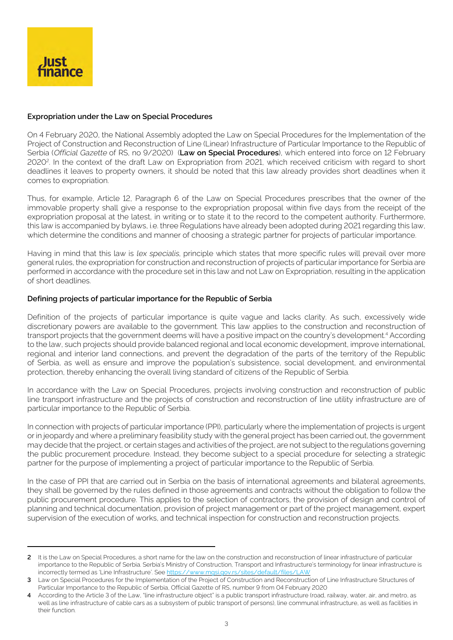

## **Expropriation under the Law on Special Procedures**

On 4 February 2020, the National Assembly adopted the Law on Special Procedures for the Implementation of the Project of Construction and Reconstruction of Line (Linear) Infrastructure of Particular Importance to the Republic of Serbia (Official Gazette of RS, no 9/2020) (**Law on Special Procedures**), which entered into force on 12 February 20202. In the context of the draft Law on Expropriation from 2021, which received criticism with regard to short deadlines it leaves to property owners, it should be noted that this law already provides short deadlines when it comes to expropriation.

Thus, for example, Article 12, Paragraph 6 of the Law on Special Procedures prescribes that the owner of the immovable property shall give a response to the expropriation proposal within five days from the receipt of the expropriation proposal at the latest, in writing or to state it to the record to the competent authority. Furthermore, this law is accompanied by bylaws, i.e. three Regulations have already been adopted during 2021 regarding this law, which determine the conditions and manner of choosing a strategic partner for projects of particular importance.

Having in mind that this law is lex specialis, principle which states that more specific rules will prevail over more general rules, the expropriation for construction and reconstruction of projects of particular importance for Serbia are performed in accordance with the procedure set in this law and not Law on Expropriation, resulting in the application of short deadlines.

#### **Defining projects of particular importance for the Republic of Serbia**

Definition of the projects of particular importance is quite vague and lacks clarity. As such, excessively wide discretionary powers are available to the government. This law applies to the construction and reconstruction of transport projects that the government deems will have a positive impact on the country's development.<sup>4</sup> According to the law, such projects should provide balanced regional and local economic development, improve international, regional and interior land connections, and prevent the degradation of the parts of the territory of the Republic of Serbia, as well as ensure and improve the population's subsistence, social development, and environmental protection, thereby enhancing the overall living standard of citizens of the Republic of Serbia.

In accordance with the Law on Special Procedures, projects involving construction and reconstruction of public line transport infrastructure and the projects of construction and reconstruction of line utility infrastructure are of particular importance to the Republic of Serbia.

In connection with projects of particular importance (PPI), particularly where the implementation of projects is urgent or in jeopardy and where a preliminary feasibility study with the general project has been carried out, the government may decide that the project, or certain stages and activities of the project, are not subject to the regulations governing the public procurement procedure. Instead, they become subject to a special procedure for selecting a strategic partner for the purpose of implementing a project of particular importance to the Republic of Serbia.

In the case of PPI that are carried out in Serbia on the basis of international agreements and bilateral agreements, they shall be governed by the rules defined in those agreements and contracts without the obligation to follow the public procurement procedure. This applies to the selection of contractors, the provision of design and control of planning and technical documentation, provision of project management or part of the project management, expert supervision of the execution of works, and technical inspection for construction and reconstruction projects.

**<sup>2</sup>** It is the Law on Special Procedures, a short name for the law on the construction and reconstruction of linear infrastructure of particular importance to the Republic of Serbia. Serbia's Ministry of Construction, Transport and Infrastructure's terminology for linear infrastructure is incorrectly termed as 'Line Infrastructure'. See [https://www.mgsi.gov.rs/sites/default/files/LAW](https://www.mgsi.gov.rs/sites/default/files/LAW%20on%20Special%20Procedures%20for%20the%20Implementation%20of%20the%20Project%20of%20Construction%20and%20Reconstruction%20of%20Line%20Infrastructure%20Structures%20of%20Particular%20Importance%20to%20the%20Republic%20of%20Serbia.pdf)

**<sup>3</sup>**  Law on Special Procedures for the Implementation of the Project of Construction and Reconstruction of Line Infrastructure Structures of Particular Importance to the Republic of Serbia, Official Gazette of RS, number 9 from 04 February 2020

**<sup>4</sup>** According to the Article 3 of the Law, "line infrastructure object" is a public transport infrastructure (road, railway, water, air, and metro, as well as line infrastructure of cable cars as a subsystem of public transport of persons), line communal infrastructure, as well as facilities in their function.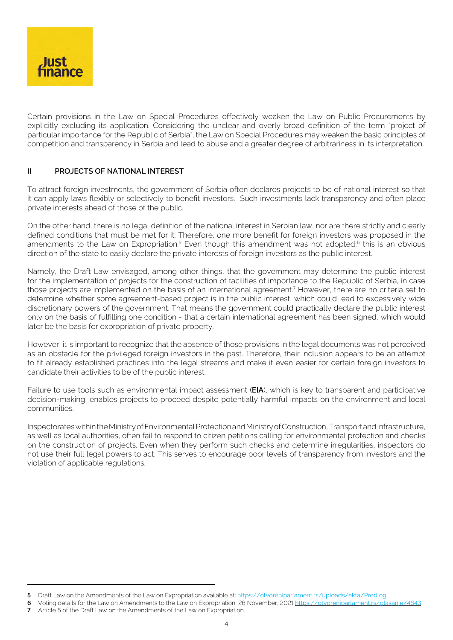

Certain provisions in the Law on Special Procedures effectively weaken the Law on Public Procurements by explicitly excluding its application. Considering the unclear and overly broad definition of the term "project of particular importance for the Republic of Serbia", the Law on Special Procedures may weaken the basic principles of competition and transparency in Serbia and lead to abuse and a greater degree of arbitrariness in its interpretation.

## **II PROJECTS OF NATIONAL INTEREST**

To attract foreign investments, the government of Serbia often declares projects to be of national interest so that it can apply laws flexibly or selectively to benefit investors. Such investments lack transparency and often place private interests ahead of those of the public.

On the other hand, there is no legal definition of the national interest in Serbian law, nor are there strictly and clearly defined conditions that must be met for it. Therefore, one more benefit for foreign investors was proposed in the amendments to the Law on Expropriation.<sup>5</sup> Even though this amendment was not adopted, $6$  this is an obvious direction of the state to easily declare the private interests of foreign investors as the public interest.

Namely, the Draft Law envisaged, among other things, that the government may determine the public interest for the implementation of projects for the construction of facilities of importance to the Republic of Serbia, in case those projects are implemented on the basis of an international agreement.<sup>7</sup> However, there are no criteria set to determine whether some agreement-based project is in the public interest, which could lead to excessively wide discretionary powers of the government. That means the government could practically declare the public interest only on the basis of fulfilling one condition - that a certain international agreement has been signed, which would later be the basis for expropriation of private property.

However, it is important to recognize that the absence of those provisions in the legal documents was not perceived as an obstacle for the privileged foreign investors in the past. Therefore, their inclusion appears to be an attempt to fit already established practices into the legal streams and make it even easier for certain foreign investors to candidate their activities to be of the public interest.

Failure to use tools such as environmental impact assessment (**EIA**), which is key to transparent and participative decision-making, enables projects to proceed despite potentially harmful impacts on the environment and local communities.

Inspectorates within the Ministry of Environmental Protection and Ministry of Construction, Transport and Infrastructure, as well as local authorities, often fail to respond to citizen petitions calling for environmental protection and checks on the construction of projects. Even when they perform such checks and determine irregularities, inspectors do not use their full legal powers to act. This serves to encourage poor levels of transparency from investors and the violation of applicable regulations.

**<sup>5</sup>** Draft Law on the Amendments of the Law on Expropriation available at: [https://otvoreniparlament.rs/uploads/akta/Predlog](https://otvoreniparlament.rs/uploads/akta/Predlog%20zakona%20o%20izmenama%20i%20dopunama%20Zakona%20o%20eksproprijaciji.pdf)

**<sup>6</sup>** Voting details for the Law on Amendments to the Law on Expropriation, 26 November, 2021 <https://otvoreniparlament.rs/glasanje/4643>

**<sup>7</sup>** Article 5 of the Draft Law on the Amendments of the Law on Expropriation.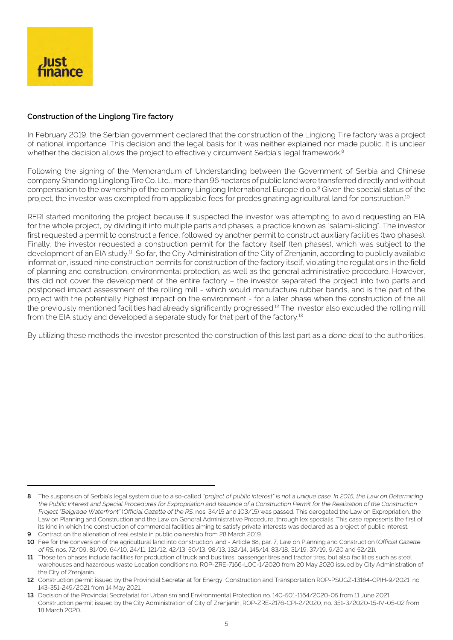

## **Construction of the Linglong Tire factory**

In February 2019, the Serbian government declared that the construction of the Linglong Tire factory was a project of national importance. This decision and the legal basis for it was neither explained nor made public. It is unclear whether the decision allows the project to effectively circumvent Serbia's legal framework.<sup>8</sup>

Following the signing of the Memorandum of Understanding between the Government of Serbia and Chinese company Shandong Linglong Tire Co. Ltd., more than 96 hectares of public land were transferred directly and without compensation to the ownership of the company Linglong International Europe d.o.o.9 Given the special status of the project, the investor was exempted from applicable fees for predesignating agricultural land for construction.<sup>10</sup>

RERI started monitoring the project because it suspected the investor was attempting to avoid requesting an EIA for the whole project, by dividing it into multiple parts and phases, a practice known as "salami-slicing". The investor first requested a permit to construct a fence, followed by another permit to construct auxiliary facilities (two phases). Finally, the investor requested a construction permit for the factory itself (ten phases), which was subject to the development of an EIA study.<sup>11</sup> So far, the City Administration of the City of Zrenjanin, according to publicly available information, issued nine construction permits for construction of the factory itself, violating the regulations in the field of planning and construction, environmental protection, as well as the general administrative procedure. However, this did not cover the development of the entire factory – the investor separated the project into two parts and postponed impact assessment of the rolling mill - which would manufacture rubber bands, and is the part of the project with the potentially highest impact on the environment - for a later phase when the construction of the all the previously mentioned facilities had already significantly progressed.<sup>12</sup> The investor also excluded the rolling mill from the EIA study and developed a separate study for that part of the factory.<sup>13</sup>

By utilizing these methods the investor presented the construction of this last part as a done deal to the authorities.

**<sup>8</sup>** The suspension of Serbia's legal system due to a so-called "project of public interest" is not a unique case. In 2015, the Law on Determining the Public Interest and Special Procedures for Expropriation and Issuance of a Construction Permit for the Realization of the Construction Project "Belgrade Waterfront" (Official Gazette of the RS, nos. 34/15 and 103/15) was passed. This derogated the Law on Expropriation, the Law on Planning and Construction and the Law on General Administrative Procedure, through lex specialis. This case represents the first of its kind in which the construction of commercial facilities aiming to satisfy private interests was declared as a project of public interest.

**<sup>9</sup>** Contract on the alienation of real estate in public ownership from 28 March 2019.

<sup>10</sup> Fee for the conversion of the agricultural land into construction land - Article 88, par. 7, Law on Planning and Construction (Official Gazette of RS, nos. 72/09, 81/09, 64/10, 24/11, 121/12, 42/13, 50/13, 98/13, 132/14, 145/14, 83/18, 31/19, 37/19, 9/20 and 52/21).

<sup>11</sup> Those ten phases include facilities for production of truck and bus tires, passenger tires and tractor tires, but also facilities such as steel warehouses and hazardous waste Location conditions no. ROP-ZRE-7166-LOC-1/2020 from 20 May 2020 issued by City Administration of the City of Zrenjanin.

**<sup>12</sup>** Construction permit issued by the Provincial Secretariat for Energy, Construction and Transportation ROP-PSUGZ-13164-CPIH-9/2021, no. 143-351-249/2021 from 14 May 2021.

**<sup>13</sup>**  Decision of the Provincial Secretariat for Urbanism and Environmental Protection no. 140-501-1164/2020-05 from 11 June 2021. Construction permit issued by the City Administration of City of Zrenjanin, ROP-ZRE-2176-CPI-2/2020, no. 351-3/2020-15-IV-05-02 from 18 March 2020.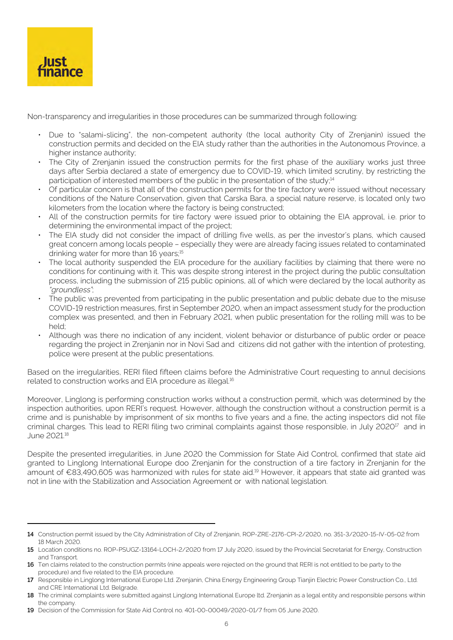

Non-transparency and irregularities in those procedures can be summarized through following:

- Due to "salami-slicing", the non-competent authority (the local authority City of Zrenjanin) issued the construction permits and decided on the EIA study rather than the authorities in the Autonomous Province, a higher instance authority;
- The City of Zrenjanin issued the construction permits for the first phase of the auxiliary works just three days after Serbia declared a state of emergency due to COVID-19, which limited scrutiny, by restricting the participation of interested members of the public in the presentation of the study;<sup>14</sup>
- Of particular concern is that all of the construction permits for the tire factory were issued without necessary conditions of the Nature Conservation, given that Carska Bara, a special nature reserve, is located only two kilometers from the location where the factory is being constructed;
- All of the construction permits for tire factory were issued prior to obtaining the EIA approval, i.e. prior to determining the environmental impact of the project;
- The EIA study did not consider the impact of drilling five wells, as per the investor's plans, which caused great concern among locals people – especially they were are already facing issues related to contaminated drinking water for more than 16 years;<sup>15</sup>
- The local authority suspended the EIA procedure for the auxiliary facilities by claiming that there were no conditions for continuing with it. This was despite strong interest in the project during the public consultation process, including the submission of 215 public opinions, all of which were declared by the local authority as "groundless";
- The public was prevented from participating in the public presentation and public debate due to the misuse COVID-19 restriction measures, first in September 2020, when an impact assessment study for the production complex was presented, and then in February 2021, when public presentation for the rolling mill was to be held;
- Although was there no indication of any incident, violent behavior or disturbance of public order or peace regarding the project in Zrenjanin nor in Novi Sad and citizens did not gather with the intention of protesting, police were present at the public presentations.

Based on the irregularities, RERI filed fifteen claims before the Administrative Court requesting to annul decisions related to construction works and EIA procedure as illegal.<sup>16</sup>

Moreover, Linglong is performing construction works without a construction permit, which was determined by the inspection authorities, upon RERI's request. However, although the construction without a construction permit is a crime and is punishable by imprisonment of six months to five years and a fine, the acting inspectors did not file criminal charges. This lead to RERI filing two criminal complaints against those responsible, in July 2020<sup>17</sup> and in June 2021.18

Despite the presented irregularities, in June 2020 the Commission for State Aid Control, confirmed that state aid granted to Linglong International Europe doo Zrenjanin for the construction of a tire factory in Zrenjanin for the amount of €83,490,605 was harmonized with rules for state aid.19 However, it appears that state aid granted was not in line with the Stabilization and Association Agreement or with national legislation.

**19**  Decision of the Commission for State Aid Control no. 401-00-00049/2020-01/7 from 05 June 2020.

**<sup>14</sup>**  Construction permit issued by the City Administration of City of Zrenjanin, ROP-ZRE-2176-CPI-2/2020, no. 351-3/2020-15-IV-05-02 from 18 March 2020.

<sup>15</sup> Location conditions no. ROP-PSUGZ-13164-LOCH-2/2020 from 17 July 2020, issued by the Provincial Secretariat for Energy, Construction and Transport.

<sup>16</sup> Ten claims related to the construction permits (nine appeals were rejected on the ground that RERI is not entitled to be party to the procedure) and five related to the EIA procedure.

<sup>17</sup> Responsible in Linglong International Europe Ltd. Zrenjanin, China Energy Engineering Group Tianjin Electric Power Construction Co., Ltd. and CRE International Ltd. Belgrade.

<sup>18</sup> The criminal complaints were submitted against Linglong International Europe ltd. Zrenjanin as a legal entity and responsible persons within the company.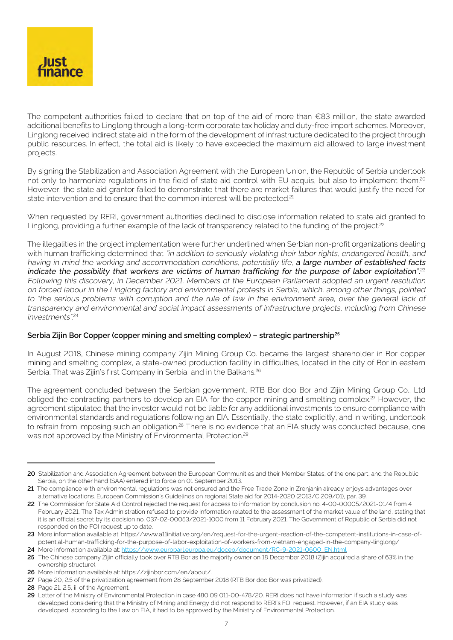

The competent authorities failed to declare that on top of the aid of more than €83 million, the state awarded additional benefits to Linglong through a long-term corporate tax holiday and duty-free import schemes. Moreover, Linglong received indirect state aid in the form of the development of infrastructure dedicated to the project through public resources. In effect, the total aid is likely to have exceeded the maximum aid allowed to large investment projects.

By signing the Stabilization and Association Agreement with the European Union, the Republic of Serbia undertook not only to harmonize regulations in the field of state aid control with EU acquis, but also to implement them.<sup>20</sup> However, the state aid grantor failed to demonstrate that there are market failures that would justify the need for state intervention and to ensure that the common interest will be protected.<sup>21</sup>

When requested by RERI, government authorities declined to disclose information related to state aid granted to Linglong, providing a further example of the lack of transparency related to the funding of the project.<sup>22</sup>

The illegalities in the project implementation were further underlined when Serbian non-profit organizations dealing with human trafficking determined that "in addition to seriously violating their labor rights, endangered health, and having in mind the working and accommodation conditions, potentially life, a large number of established facts indicate the possibility that workers are victims of human trafficking for the purpose of labor exploitation".<sup>23</sup> Following this discovery, in December 2021, Members of the European Parliament adopted an urgent resolution on forced labour in the Linglong factory and environmental protests in Serbia, which, among other things, pointed to "the serious problems with corruption and the rule of law in the environment area, over the general lack of transparency and environmental and social impact assessments of infrastructure projects, including from Chinese investments". 24

#### **Serbia Zijin Bor Copper (copper mining and smelting complex) – strategic partnership<sup>25</sup>**

In August 2018, Chinese mining company Zijin Mining Group Co. became the largest shareholder in Bor copper mining and smelting complex, a state-owned production facility in difficulties, located in the city of Bor in eastern Serbia. That was Zijin's first Company in Serbia, and in the Balkans.<sup>26</sup>

The agreement concluded between the Serbian government, RTB Bor doo Bor and Zijin Mining Group Co., Ltd obliged the contracting partners to develop an EIA for the copper mining and smelting complex.<sup>27</sup> However, the agreement stipulated that the investor would not be liable for any additional investments to ensure compliance with environmental standards and regulations following an EIA. Essentially, the state explicitly, and in writing, undertook to refrain from imposing such an obligation.<sup>28</sup> There is no evidence that an EIA study was conducted because, one was not approved by the Ministry of Environmental Protection.<sup>29</sup>

**<sup>20</sup>** Stabilization and Association Agreement between the European Communities and their Member States, of the one part, and the Republic Serbia, on the other hand (SAA) entered into force on 01 September 2013.

**<sup>21</sup>** The compliance with environmental regulations was not ensured and the Free Trade Zone in Zrenjanin already enjoys advantages over alternative locations. European Commission's Guidelines on regional State aid for 2014-2020 (2013/C 209/01), par. 39.

**<sup>22</sup>** The Commission for State Aid Control rejected the request for access to information by conclusion no. 4-00-00005/2021-01/4 from 4 February 2021, The Tax Administration refused to provide information related to the assessment of the market value of the land, stating that it is an official secret by its decision no. 037-02-00053/2021-1000 from 11 February 2021. The Government of Republic of Serbia did not responded on the FOI request up to date.

**<sup>23</sup>** More information available at: https://www.a11initiative.org/en/request-for-the-urgent-reaction-of-the-competent-institutions-in-case-ofpotential-human-trafficking-for-the-purpose-of-labor-exploitation-of-workers-from-vietnam-engaged-in-the-company-linglong/

<sup>24</sup> More information available at: [https://www.europarl.europa.eu/doceo/document/RC-9-2021-0600\\_EN.html](https://www.europarl.europa.eu/doceo/document/RC-9-2021-0600_EN.html)

<sup>25</sup> The Chinese company Zijin officially took over RTB Bor as the majority owner on 18 December 2018 (Zijin acquired a share of 63% in the ownership structure).

**<sup>26</sup>**  More information available at: https://zijinbor.com/en/about/.

<sup>27</sup> Page 20, 2.5 of the privatization agreement from 28 September 2018 (RTB Bor doo Bor was privatized).

**<sup>28</sup>**  Page 21, 2.5, iii of the Agreement.

**<sup>29</sup>**  Letter of the Ministry of Environmental Protection in case 480 09 011-00-478/20. RERI does not have information if such a study was developed considering that the Ministry of Mining and Energy did not respond to RERI's FOI request. However, if an EIA study was developed, according to the Law on EIA, it had to be approved by the Ministry of Environmental Protection.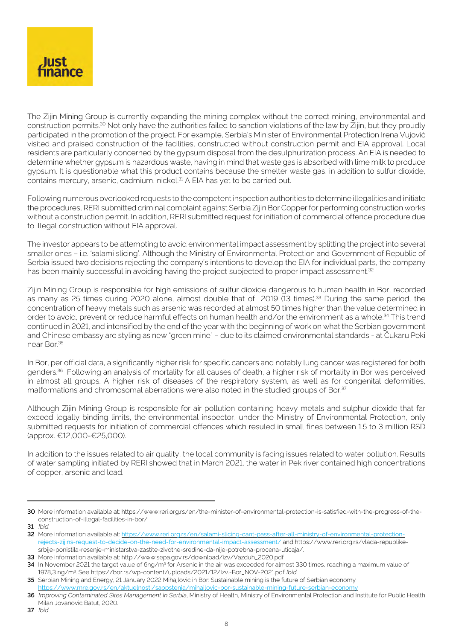

The Zijin Mining Group is currently expanding the mining complex without the correct mining, environmental and construction permits.30 Not only have the authorities failed to sanction violations of the law by Zijin, but they proudly participated in the promotion of the project. For example, Serbia's Minister of Environmental Protection Irena Vujović visited and praised construction of the facilities, constructed without construction permit and EIA approval. Local residents are particularly concerned by the gypsum disposal from the desulphurization process. An EIA is needed to determine whether gypsum is hazardous waste, having in mind that waste gas is absorbed with lime milk to produce gypsum. It is questionable what this product contains because the smelter waste gas, in addition to sulfur dioxide, contains mercury, arsenic, cadmium, nickel.<sup>31</sup> A EIA has yet to be carried out.

Following numerous overlooked requests to the competent inspection authorities to determine illegalities and initiate the procedures, RERI submitted criminal complaint against Serbia Zijin Bor Copper for performing construction works without a construction permit. In addition, RERI submitted request for initiation of commercial offence procedure due to illegal construction without EIA approval.

The investor appears to be attempting to avoid environmental impact assessment by splitting the project into several smaller ones – i.e. 'salami slicing'. Although the Ministry of Environmental Protection and Government of Republic of Serbia issued two decisions rejecting the company's intentions to develop the EIA for individual parts, the company has been mainly successful in avoiding having the project subjected to proper impact assessment.<sup>32</sup>

Zijin Mining Group is responsible for high emissions of sulfur dioxide dangerous to human health in Bor, recorded as many as 25 times during 2020 alone, almost double that of 2019 (13 times).<sup>33</sup> During the same period, the concentration of heavy metals such as arsenic was recorded at almost 50 times higher than the value determined in order to avoid, prevent or reduce harmful effects on human health and/or the environment as a whole.34 This trend continued in 2021, and intensified by the end of the year with the beginning of work on what the Serbian government and Chinese embassy are styling as new "green mine" – due to its claimed environmental standards - at Čukaru Peki near Bor.<sup>35</sup>

In Bor, per official data, a significantly higher risk for specific cancers and notably lung cancer was registered for both genders.36 Following an analysis of mortality for all causes of death, a higher risk of mortality in Bor was perceived in almost all groups. A higher risk of diseases of the respiratory system, as well as for congenital deformities, malformations and chromosomal aberrations were also noted in the studied groups of Bor.<sup>37</sup>

Although Zijin Mining Group is responsible for air pollution containing heavy metals and sulphur dioxide that far exceed legally binding limits, the environmental inspector, under the Ministry of Environmental Protection, only submitted requests for initiation of commercial offences which resuled in small fines between 1.5 to 3 million RSD (approx. €12,000-€25,000).

In addition to the issues related to air quality, the local community is facing issues related to water pollution. Results of water sampling initiated by RERI showed that in March 2021, the water in Pek river contained high concentrations of copper, arsenic and lead.

**<sup>30</sup>**  More information available at: https://www.reri.org.rs/en/the-minister-of-environmental-protection-is-satisfied-with-the-progress-of-theconstruction-of-illegal-facilities-in-bor/

**<sup>31</sup>**  Ibid.

**<sup>32</sup>** More information available at: [https://www.reri.org.rs/en/salami-slicing-cant-pass-after-all-ministry-of-environmental-protection](https://www.reri.org.rs/en/salami-slicing-cant-pass-after-all-ministry-of-environmental-protection-r)[rejects-zijins-request-to-decide-on-the-need-for-environmental-impact-assessment/](https://www.reri.org.rs/en/salami-slicing-cant-pass-after-all-ministry-of-environmental-protection-r) and https://www.reri.org.rs/vlada-republikesrbije-ponistila-resenje-ministarstva-zastite-zivotne-sredine-da-nije-potrebna-procena-uticaja/.

**<sup>33</sup>**  More information available at: http://www.sepa.gov.rs/download/izv/Vazduh\_2020.pdf

**<sup>34</sup>** In November 2021 the target value of 6ng/m<sup>3</sup> for Arsenic in the air was exceeded for almost 330 times, reaching a maximum value of 1978,3 ng/m3. See https://bor.rs/wp-content/uploads/2021/12/Izv.-Bor\_NOV-2021.pdf Ibid.

**<sup>35</sup>** Serbian Mining and Energy, 21 January 2022 Mihajlovic in Bor: Sustainable mining is the future of Serbian economy

[https://www.mre.gov.rs/en/aktuelnosti/saopstenja/mihajlovic-bor-sustainable-mining-future-serbian-economy](https://www.mre.gov.rs/en/aktuelnosti/saopstenja/mihajlovic-bor-sustainable-mining-future-serbian-ec)

**<sup>36</sup>** Improving Contaminated Sites Management in Serbia, Ministry of Health, Ministry of Environmental Protection and Institute for Public Health Milan Jovanovic Batut, 2020.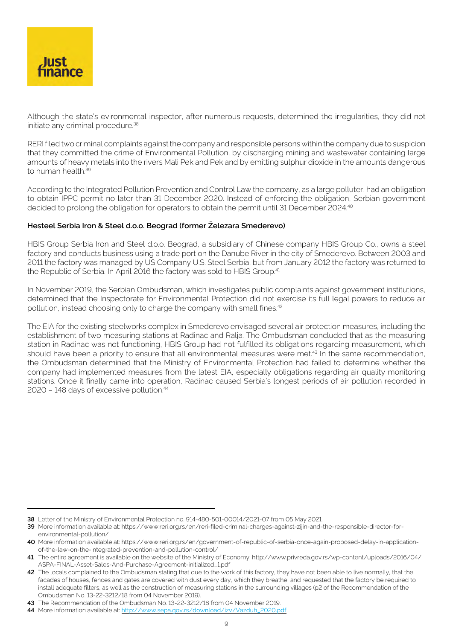

Although the state's evironmental inspector, after numerous requests, determined the irregularities, they did not initiate any criminal procedure.<sup>38</sup>

RERI filed two criminal complaints against the company and responsible persons within the company due to suspicion that they committed the crime of Environmental Pollution, by discharging mining and wastewater containing large amounts of heavy metals into the rivers Mali Pek and Pek and by emitting sulphur dioxide in the amounts dangerous to human health.<sup>39</sup>

According to the Integrated Pollution Prevention and Control Law the company, as a large polluter, had an obligation to obtain IPPC permit no later than 31 December 2020. Instead of enforcing the obligation, Serbian government decided to prolong the obligation for operators to obtain the permit until 31 December 2024.<sup>40</sup>

## **Hesteel Serbia Iron & Steel d.o.o. Beograd (former Železara Smederevo)**

HBIS Group Serbia Iron and Steel d.o.o. Beograd, a subsidiary of Chinese company HBIS Group Co., owns a steel factory and conducts business using a trade port on the Danube River in the city of Smederevo. Between 2003 and 2011 the factory was managed by US Company U.S. Steel Serbia, but from January 2012 the factory was returned to the Republic of Serbia. In April 2016 the factory was sold to HBIS Group.<sup>41</sup>

In November 2019, the Serbian Ombudsman, which investigates public complaints against government institutions, determined that the Inspectorate for Environmental Protection did not exercise its full legal powers to reduce air pollution, instead choosing only to charge the company with small fines.<sup>42</sup>

The EIA for the existing steelworks complex in Smederevo envisaged several air protection measures, including the establishment of two measuring stations at Radinac and Ralja. The Ombudsman concluded that as the measuring station in Radinac was not functioning, HBIS Group had not fulfilled its obligations regarding measurement, which should have been a priority to ensure that all environmental measures were met.<sup>43</sup> In the same recommendation, the Ombudsman determined that the Ministry of Environmental Protection had failed to determine whether the company had implemented measures from the latest EIA, especially obligations regarding air quality monitoring stations. Once it finally came into operation, Radinac caused Serbia's longest periods of air pollution recorded in 2020 - 148 days of excessive pollution.<sup>44</sup>

**<sup>38</sup>**  Letter of the Ministry of Environmental Protection no. 914-480-501-00014/2021-07 from 05 May 2021.

**<sup>39</sup>**  More information available at: https://www.reri.org.rs/en/reri-filed-criminal-charges-against-zijin-and-the-responsible-director-forenvironmental-pollution/

**<sup>40</sup>**  More information available at: https://www.reri.org.rs/en/government-of-republic-of-serbia-once-again-proposed-delay-in-applicationof-the-law-on-the-integrated-prevention-and-pollution-control/

**<sup>41</sup>**  The entire agreement is available on the website of the Ministry of Economy: http://www.privreda.gov.rs/wp-content/uploads/2016/04/ ASPA-FINAL-Asset-Sales-And-Purchase-Agreement-initialized\_1.pdf

**<sup>42</sup>** The locals complained to the Ombudsman stating that due to the work of this factory, they have not been able to live normally, that the facades of houses, fences and gates are covered with dust every day, which they breathe, and requested that the factory be required to install adequate filters, as well as the construction of measuring stations in the surrounding villages (p2 of the Recommendation of the Ombudsman No. 13-22-3212/18 from 04 November 2019).

**<sup>43</sup>**  The Recommendation of the Ombudsman No. 13-22-3212/18 from 04 November 2019.

**<sup>44</sup>**  More information available at: [http://www.sepa.gov.rs/download/izv/Vazduh\\_2020.pdf](http://www.sepa.gov.rs/download/izv/Vazduh_2020.pdf)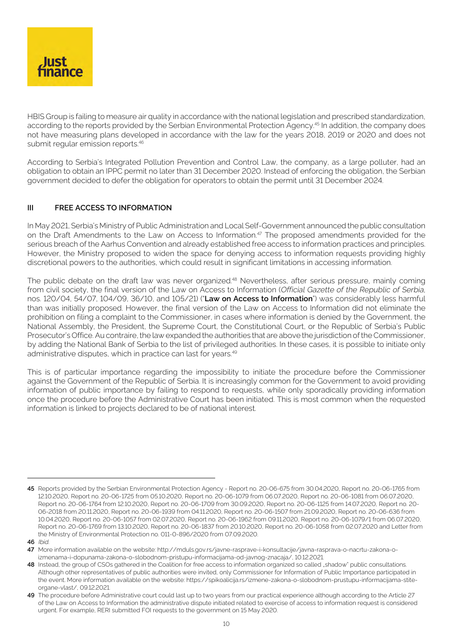

HBIS Group is failing to measure air quality in accordance with the national legislation and prescribed standardization, according to the reports provided by the Serbian Environmental Protection Agency.45 In addition, the company does not have measuring plans developed in accordance with the law for the years 2018, 2019 or 2020 and does not submit regular emission reports.<sup>46</sup>

According to Serbia's Integrated Pollution Prevention and Control Law, the company, as a large polluter, had an obligation to obtain an IPPC permit no later than 31 December 2020. Instead of enforcing the obligation, the Serbian government decided to defer the obligation for operators to obtain the permit until 31 December 2024.

# **III FREE ACCESS TO INFORMATION**

In May 2021, Serbia's Ministry of Public Administration and Local Self-Government announced the public consultation on the Draft Amendments to the Law on Access to Information.<sup>47</sup> The proposed amendments provided for the serious breach of the Aarhus Convention and already established free access to information practices and principles. However, the Ministry proposed to widen the space for denying access to information requests providing highly discretional powers to the authorities, which could result in significant limitations in accessing information.

The public debate on the draft law was never organized.<sup>48</sup> Nevertheless, after serious pressure, mainly coming from civil society, the final version of the Law on Access to Information (Official Gazette of the Republic of Serbia, nos. 120/04, 54/07, 104/09, 36/10, and 105/21) ("**Law on Access to Information**") was considerably less harmful than was initially proposed. However, the final version of the Law on Access to Information did not eliminate the prohibition on filing a complaint to the Commissioner, in cases where information is denied by the Government, the National Assembly, the President, the Supreme Court, the Constitutional Court, or the Republic of Serbia's Public Prosecutor's Office. Au contraire, the law expanded the authorities that are above the jurisdiction of the Commissioner, by adding the National Bank of Serbia to the list of privileged authorities. In these cases, it is possible to initiate only administrative disputes, which in practice can last for years.<sup>49</sup>

This is of particular importance regarding the impossibility to initiate the procedure before the Commissioner against the Government of the Republic of Serbia. It is increasingly common for the Government to avoid providing information of public importance by failing to respond to requests, while only sporadically providing information once the procedure before the Administrative Court has been initiated. This is most common when the requested information is linked to projects declared to be of national interest.

**<sup>45</sup>** Reports provided by the Serbian Environmental Protection Agency - Report no. 20-06-675 from 30.04.2020, Report no. 20-06-1765 from 12.10.2020, Report no. 20-06-1725 from 05.10.2020, Report no. 20-06-1079 from 06.07.2020, Report no. 20-06-1081 from 06.07.2020, Report no. 20-06-1764 from 12.10.2020, Report no. 20-06-1709 from 30.09.2020, Report no. 20-06-1125 from 14.07.2020, Report no. 20- 06-2018 from 20.11.2020, Report no. 20-06-1939 from 04.11.2020, Report no. 20-06-1507 from 21.09.2020, Report no. 20-06-636 from 10.04.2020, Report no. 20-06-1057 from 02.07.2020, Report no. 20-06-1962 from 09.11.2020, Report no. 20-06-1079/1 from 06.07.2020, Report no. 20-06-1769 from 13.10.2020, Report no. 20-06-1837 from 20.10.2020, Report no. 20-06-1058 from 02.07.2020 and Letter from the Ministry of Environmental Protection no. 011-0-896/2020 from 07.09.2020.

**<sup>46</sup>**  Ibid.

**<sup>47</sup>**  More information available on the website: http://mduls.gov.rs/javne-rasprave-i-konsultacije/javna-rasprava-o-nacrtu-zakona-oizmenama-i-dopunama-zakona-o-slobodnom-pristupu-informacijama-od-javnog-znacaja/, 10.12.2021.

**<sup>48</sup>** Instead, the group of CSOs gathered in the Coalition for free access to information organized so called "shadow" public consultations. Although other representatives of public authorities were invited, only Commissioner for Information of Public Importance participated in the event. More information available on the website: https://spikoalicija.rs/izmene-zakona-o-slobodnom-prustupu-informacijama-stiteorgane-vlast/, 09.12.2021.

**<sup>49</sup>** The procedure before Administrative court could last up to two years from our practical experience although according to the Article 27 of the Law on Access to Information the administrative dispute initiated related to exercise of access to information request is considered urgent. For example, RERI submitted FOI requests to the government on 15 May 2020.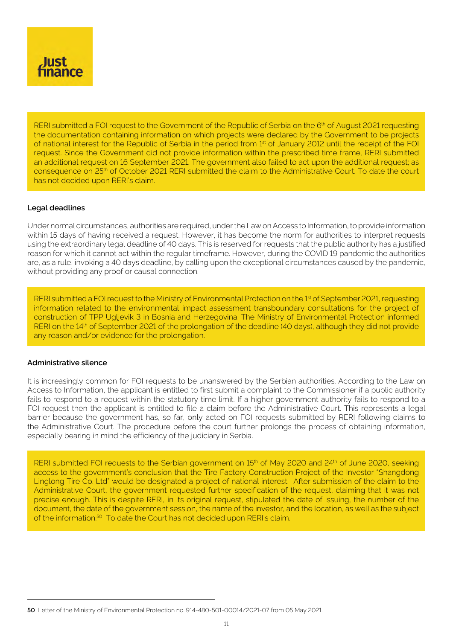

RERI submitted a FOI request to the Government of the Republic of Serbia on the 6<sup>th</sup> of August 2021 requesting the documentation containing information on which projects were declared by the Government to be projects of national interest for the Republic of Serbia in the period from 1st of January 2012 until the receipt of the FOI request. Since the Government did not provide information within the prescribed time frame, RERI submitted an additional request on 16 September 2021. The government also failed to act upon the additional request; as consequence on 25th of October 2021 RERI submitted the claim to the Administrative Court. To date the court has not decided upon RERI's claim.

#### **Legal deadlines**

Under normal circumstances, authorities are required, under the Law on Access to Information, to provide information within 15 days of having received a request. However, it has become the norm for authorities to interpret requests using the extraordinary legal deadline of 40 days. This is reserved for requests that the public authority has a justified reason for which it cannot act within the regular timeframe. However, during the COVID 19 pandemic the authorities are, as a rule, invoking a 40 days deadline, by calling upon the exceptional circumstances caused by the pandemic, without providing any proof or causal connection.

RERI submitted a FOI request to the Ministry of Environmental Protection on the 1<sup>st</sup> of September 2021, requesting information related to the environmental impact assessment transboundary consultations for the project of construction of TPP Ugljevik 3 in Bosnia and Herzegovina. The Ministry of Environmental Protection informed RERI on the 14<sup>th</sup> of September 2021 of the prolongation of the deadline (40 days), although they did not provide any reason and/or evidence for the prolongation.

#### **Administrative silence**

It is increasingly common for FOI requests to be unanswered by the Serbian authorities. According to the Law on Access to Information, the applicant is entitled to first submit a complaint to the Commissioner if a public authority fails to respond to a request within the statutory time limit. If a higher government authority fails to respond to a FOI request then the applicant is entitled to file a claim before the Administrative Court. This represents a legal barrier because the government has, so far, only acted on FOI requests submitted by RERI following claims to the Administrative Court. The procedure before the court further prolongs the process of obtaining information, especially bearing in mind the efficiency of the judiciary in Serbia.

RERI submitted FOI requests to the Serbian government on 15<sup>th</sup> of May 2020 and 24<sup>th</sup> of June 2020, seeking access to the government's conclusion that the Tire Factory Construction Project of the Investor "Shangdong Linglong Tire Co. Ltd" would be designated a project of national interest. After submission of the claim to the Administrative Court, the government requested further specification of the request, claiming that it was not precise enough. This is despite RERI, in its original request, stipulated the date of issuing, the number of the document, the date of the government session, the name of the investor, and the location, as well as the subject of the information.<sup>50</sup> To date the Court has not decided upon RERI's claim.

**<sup>50</sup>**  Letter of the Ministry of Environmental Protection no. 914-480-501-00014/2021-07 from 05 May 2021.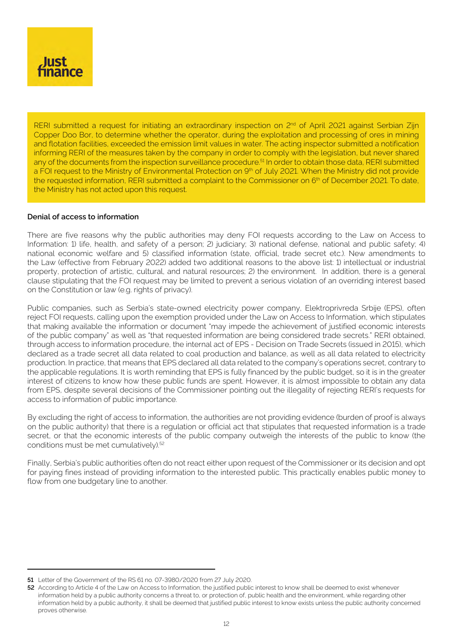

RERI submitted a request for initiating an extraordinary inspection on 2<sup>nd</sup> of April 2021 against Serbian Zijn Copper Doo Bor, to determine whether the operator, during the exploitation and processing of ores in mining and flotation facilities, exceeded the emission limit values in water. The acting inspector submitted a notification informing RERI of the measures taken by the company in order to comply with the legislation, but never shared any of the documents from the inspection surveillance procedure.<sup>51</sup> In order to obtain those data, RERI submitted a FOI request to the Ministry of Environmental Protection on 9<sup>th</sup> of July 2021. When the Ministry did not provide the requested information, RERI submitted a complaint to the Commissioner on 6<sup>th</sup> of December 2021. To date, the Ministry has not acted upon this request.

#### **Denial of access to information**

There are five reasons why the public authorities may deny FOI requests according to the Law on Access to Information: 1) life, health, and safety of a person; 2) judiciary; 3) national defense, national and public safety; 4) national economic welfare and 5) classified information (state, official, trade secret etc.). New amendments to the Law (effective from February 2022) added two additional reasons to the above list: 1) intellectual or industrial property, protection of artistic, cultural, and natural resources; 2) the environment. In addition, there is a general clause stipulating that the FOI request may be limited to prevent a serious violation of an overriding interest based on the Constitution or law (e.g. rights of privacy).

Public companies, such as Serbia's state-owned electricity power company, Elektroprivreda Srbije (EPS), often reject FOI requests, calling upon the exemption provided under the Law on Access to Information, which stipulates that making available the information or document "may impede the achievement of justified economic interests of the public company" as well as "that requested information are being considered trade secrets." RERI obtained, through access to information procedure, the internal act of EPS - Decision on Trade Secrets (issued in 2015), which declared as a trade secret all data related to coal production and balance, as well as all data related to electricity production. In practice, that means that EPS declared all data related to the company's operations secret, contrary to the applicable regulations. It is worth reminding that EPS is fully financed by the public budget, so it is in the greater interest of citizens to know how these public funds are spent. However, it is almost impossible to obtain any data from EPS, despite several decisions of the Commissioner pointing out the illegality of rejecting RERI's requests for access to information of public importance.

By excluding the right of access to information, the authorities are not providing evidence (burden of proof is always on the public authority) that there is a regulation or official act that stipulates that requested information is a trade secret, or that the economic interests of the public company outweigh the interests of the public to know (the conditions must be met cumulatively).<sup>52</sup>

Finally, Serbia's public authorities often do not react either upon request of the Commissioner or its decision and opt for paying fines instead of providing information to the interested public. This practically enables public money to flow from one budgetary line to another.

**<sup>51</sup>** Letter of the Government of the RS 61 no. 07-3980/2020 from 27 July 2020.

**<sup>52</sup>** According to Article 4 of the Law on Access to Information, the justified public interest to know shall be deemed to exist whenever information held by a public authority concerns a threat to, or protection of, public health and the environment, while regarding other information held by a public authority, it shall be deemed that justified public interest to know exists unless the public authority concerned proves otherwise.